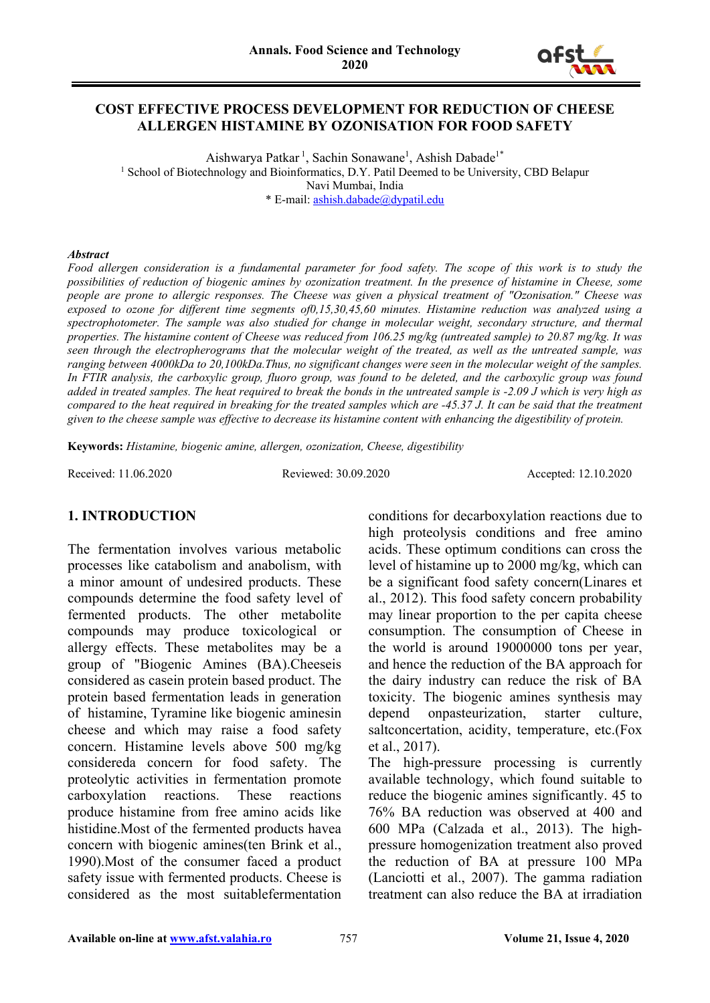

#### **COST EFFECTIVE PROCESS DEVELOPMENT FOR REDUCTION OF CHEESE ALLERGEN HISTAMINE BY OZONISATION FOR FOOD SAFETY**

Aishwarya Patkar<sup>1</sup>, Sachin Sonawane<sup>1</sup>, Ashish Dabade<sup>1\*</sup> <sup>1</sup> School of Biotechnology and Bioinformatics, D.Y. Patil Deemed to be University, CBD Belapur Navi Mumbai, India \* E-mail: [ashish.dabade@dypatil.edu](mailto:ashish.dabade@dypatil.edu)

#### *Abstract*

*Food allergen consideration is a fundamental parameter for food safety. The scope of this work is to study the possibilities of reduction of biogenic amines by ozonization treatment. In the presence of histamine in Cheese, some people are prone to allergic responses. The Cheese was given a physical treatment of "Ozonisation." Cheese was exposed to ozone for different time segments of0,15,30,45,60 minutes. Histamine reduction was analyzed using a spectrophotometer. The sample was also studied for change in molecular weight, secondary structure, and thermal properties. The histamine content of Cheese was reduced from 106.25 mg/kg (untreated sample) to 20.87 mg/kg. It was seen through the electropherograms that the molecular weight of the treated, as well as the untreated sample, was ranging between 4000kDa to 20,100kDa.Thus, no significant changes were seen in the molecular weight of the samples. In FTIR analysis, the carboxylic group, fluoro group, was found to be deleted, and the carboxylic group was found added in treated samples. The heat required to break the bonds in the untreated sample is -2.09 J which is very high as compared to the heat required in breaking for the treated samples which are -45.37 J. It can be said that the treatment given to the cheese sample was effective to decrease its histamine content with enhancing the digestibility of protein.*

**Keywords:** *Histamine, biogenic amine, allergen, ozonization, Cheese, digestibility*

Received: 11.06.2020 Reviewed: 30.09.2020 Accepted: 12.10.2020

# **1. INTRODUCTION**

The fermentation involves various metabolic processes like catabolism and anabolism, with a minor amount of undesired products. These compounds determine the food safety level of fermented products. The other metabolite compounds may produce toxicological or allergy effects. These metabolites may be a group of "Biogenic Amines (BA).Cheeseis considered as casein protein based product. The protein based fermentation leads in generation of histamine, Tyramine like biogenic aminesin cheese and which may raise a food safety concern. Histamine levels above 500 mg/kg considereda concern for food safety. The proteolytic activities in fermentation promote carboxylation reactions. These reactions produce histamine from free amino acids like histidine.Most of the fermented products havea concern with biogenic amines(ten Brink et al., 1990).Most of the consumer faced a product safety issue with fermented products. Cheese is considered as the most suitablefermentation

conditions for decarboxylation reactions due to high proteolysis conditions and free amino acids. These optimum conditions can cross the level of histamine up to 2000 mg/kg, which can be a significant food safety concern(Linares et al., 2012). This food safety concern probability may linear proportion to the per capita cheese consumption. The consumption of Cheese in the world is around 19000000 tons per year, and hence the reduction of the BA approach for the dairy industry can reduce the risk of BA toxicity. The biogenic amines synthesis may depend onpasteurization, starter culture, saltconcertation, acidity, temperature, etc.(Fox et al., 2017).

The high-pressure processing is currently available technology, which found suitable to reduce the biogenic amines significantly. 45 to 76% BA reduction was observed at 400 and 600 MPa (Calzada et al., 2013). The highpressure homogenization treatment also proved the reduction of BA at pressure 100 MPa (Lanciotti et al., 2007). The gamma radiation treatment can also reduce the BA at irradiation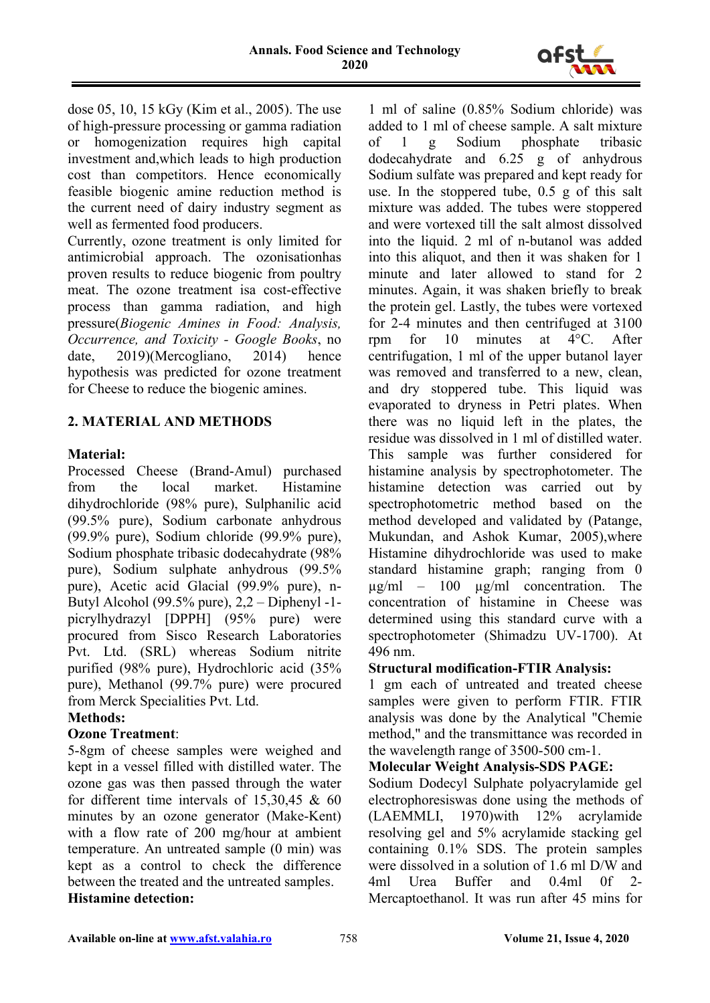

dose 05, 10, 15 kGy (Kim et al., 2005). The use of high-pressure processing or gamma radiation or homogenization requires high capital investment and,which leads to high production cost than competitors. Hence economically feasible biogenic amine reduction method is the current need of dairy industry segment as well as fermented food producers.

Currently, ozone treatment is only limited for antimicrobial approach. The ozonisationhas proven results to reduce biogenic from poultry meat. The ozone treatment isa cost-effective process than gamma radiation, and high pressure(*Biogenic Amines in Food: Analysis, Occurrence, and Toxicity - Google Books*, no date, 2019)(Mercogliano, 2014) hence hypothesis was predicted for ozone treatment for Cheese to reduce the biogenic amines.

## **2. MATERIAL AND METHODS**

### **Material:**

Processed Cheese (Brand-Amul) purchased from the local market. Histamine dihydrochloride (98% pure), Sulphanilic acid (99.5% pure), Sodium carbonate anhydrous (99.9% pure), Sodium chloride (99.9% pure), Sodium phosphate tribasic dodecahydrate (98% pure), Sodium sulphate anhydrous (99.5% pure), Acetic acid Glacial (99.9% pure), n-Butyl Alcohol (99.5% pure), 2,2 – Diphenyl -1 picrylhydrazyl [DPPH] (95% pure) were procured from Sisco Research Laboratories Pvt. Ltd. (SRL) whereas Sodium nitrite purified (98% pure), Hydrochloric acid (35% pure), Methanol (99.7% pure) were procured from Merck Specialities Pvt. Ltd.

## **Methods:**

### **Ozone Treatment**:

5-8gm of cheese samples were weighed and kept in a vessel filled with distilled water. The ozone gas was then passed through the water for different time intervals of 15,30,45 & 60 minutes by an ozone generator (Make-Kent) with a flow rate of 200 mg/hour at ambient temperature. An untreated sample (0 min) was kept as a control to check the difference between the treated and the untreated samples. **Histamine detection:**

1 ml of saline (0.85% Sodium chloride) was added to 1 ml of cheese sample. A salt mixture of 1 g Sodium phosphate tribasic dodecahydrate and 6.25 g of anhydrous Sodium sulfate was prepared and kept ready for use. In the stoppered tube, 0.5 g of this salt mixture was added. The tubes were stoppered and were vortexed till the salt almost dissolved into the liquid. 2 ml of n-butanol was added into this aliquot, and then it was shaken for 1 minute and later allowed to stand for 2 minutes. Again, it was shaken briefly to break the protein gel. Lastly, the tubes were vortexed for 2-4 minutes and then centrifuged at 3100 rpm for 10 minutes at 4°C. After centrifugation, 1 ml of the upper butanol layer was removed and transferred to a new, clean, and dry stoppered tube. This liquid was evaporated to dryness in Petri plates. When there was no liquid left in the plates, the residue was dissolved in 1 ml of distilled water. This sample was further considered for histamine analysis by spectrophotometer. The histamine detection was carried out by spectrophotometric method based on the method developed and validated by (Patange, Mukundan, and Ashok Kumar, 2005),where Histamine dihydrochloride was used to make standard histamine graph; ranging from 0  $\mu$ g/ml – 100  $\mu$ g/ml concentration. The concentration of histamine in Cheese was determined using this standard curve with a spectrophotometer (Shimadzu UV-1700). At 496 nm.

### **Structural modification-FTIR Analysis:**

1 gm each of untreated and treated cheese samples were given to perform FTIR. FTIR analysis was done by the Analytical "Chemie method," and the transmittance was recorded in the wavelength range of 3500-500 cm-1.

### **Molecular Weight Analysis-SDS PAGE:**

Sodium Dodecyl Sulphate polyacrylamide gel electrophoresiswas done using the methods of (LAEMMLI, 1970)with 12% acrylamide resolving gel and 5% acrylamide stacking gel containing 0.1% SDS. The protein samples were dissolved in a solution of 1.6 ml D/W and 4ml Urea Buffer and 0.4ml 0f 2- Mercaptoethanol. It was run after 45 mins for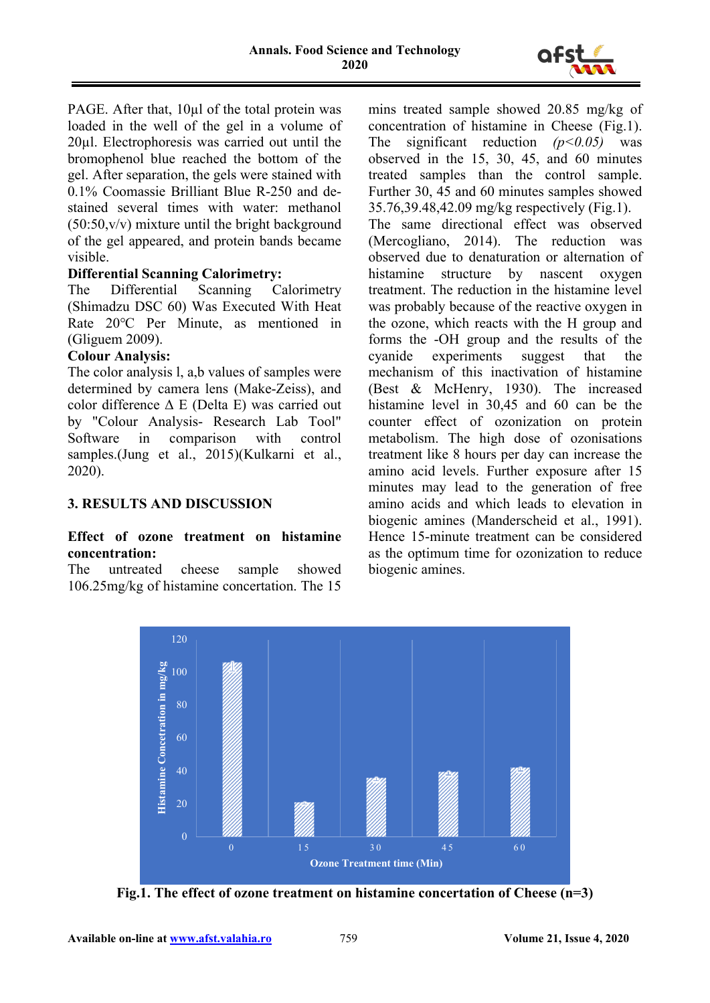

PAGE. After that, 10µl of the total protein was loaded in the well of the gel in a volume of 20µl. Electrophoresis was carried out until the bromophenol blue reached the bottom of the gel. After separation, the gels were stained with 0.1% Coomassie Brilliant Blue R-250 and destained several times with water: methanol  $(50:50,v/v)$  mixture until the bright background of the gel appeared, and protein bands became visible.

### **Differential Scanning Calorimetry:**

The Differential Scanning Calorimetry (Shimadzu DSC 60) Was Executed With Heat Rate 20°C Per Minute, as mentioned in (Gliguem 2009).

### **Colour Analysis:**

The color analysis l, a,b values of samples were determined by camera lens (Make-Zeiss), and color difference Δ E (Delta E) was carried out by "Colour Analysis- Research Lab Tool" Software in comparison with control samples.(Jung et al., 2015)(Kulkarni et al., 2020).

### **3. RESULTS AND DISCUSSION**

### **Effect of ozone treatment on histamine concentration:**

The untreated cheese sample showed 106.25mg/kg of histamine concertation. The 15 mins treated sample showed 20.85 mg/kg of concentration of histamine in Cheese (Fig.1). The significant reduction (p<0.05) was observed in the 15, 30, 45, and 60 minutes treated samples than the control sample. Further 30, 45 and 60 minutes samples showed 35.76,39.48,42.09 mg/kg respectively (Fig.1). The same directional effect was observed (Mercogliano, 2014). The reduction was observed due to denaturation or alternation of histamine structure by nascent oxygen treatment. The reduction in the histamine level was probably because of the reactive oxygen in the ozone, which reacts with the H group and forms the -OH group and the results of the cyanide experiments suggest that the mechanism of this inactivation of histamine (Best & McHenry, 1930). The increased histamine level in 30,45 and 60 can be the counter effect of ozonization on protein metabolism. The high dose of ozonisations treatment like 8 hours per day can increase the amino acid levels. Further exposure after 15 minutes may lead to the generation of free amino acids and which leads to elevation in biogenic amines (Manderscheid et al., 1991). Hence 15-minute treatment can be considered as the optimum time for ozonization to reduce biogenic amines.



**Fig.1. The effect of ozone treatment on histamine concertation of Cheese (n=3)**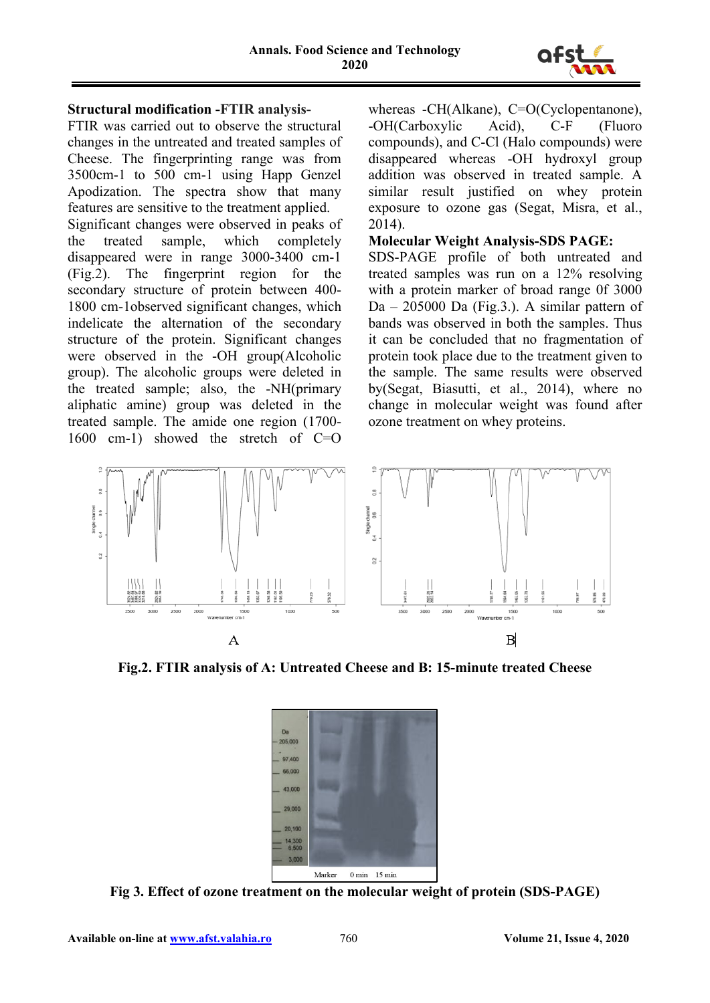

### **Structural modification -FTIR analysis-**

FTIR was carried out to observe the structural changes in the untreated and treated samples of Cheese. The fingerprinting range was from 3500cm-1 to 500 cm-1 using Happ Genzel Apodization. The spectra show that many features are sensitive to the treatment applied. Significant changes were observed in peaks of the treated sample, which completely disappeared were in range 3000-3400 cm-1 (Fig.2). The fingerprint region for the secondary structure of protein between 400- 1800 cm-1observed significant changes, which indelicate the alternation of the secondary structure of the protein. Significant changes were observed in the -OH group(Alcoholic group). The alcoholic groups were deleted in the treated sample; also, the -NH(primary aliphatic amine) group was deleted in the treated sample. The amide one region (1700- 1600 cm-1) showed the stretch of C=O

whereas -CH(Alkane), C=O(Cyclopentanone), -OH(Carboxylic Acid), C-F (Fluoro compounds), and C-Cl (Halo compounds) were disappeared whereas -OH hydroxyl group addition was observed in treated sample. A similar result justified on whey protein exposure to ozone gas (Segat, Misra, et al., 2014).

### **Molecular Weight Analysis-SDS PAGE:**

SDS-PAGE profile of both untreated and treated samples was run on a 12% resolving with a protein marker of broad range 0f 3000 Da – 205000 Da (Fig.3.). A similar pattern of bands was observed in both the samples. Thus it can be concluded that no fragmentation of protein took place due to the treatment given to the sample. The same results were observed by(Segat, Biasutti, et al., 2014), where no change in molecular weight was found after ozone treatment on whey proteins.



**Fig.2. FTIR analysis of A: Untreated Cheese and B: 15-minute treated Cheese**

|                 | Marker | $0 \text{ min}$ | $15 \text{ min}$ |  |
|-----------------|--------|-----------------|------------------|--|
| 3,000           |        |                 |                  |  |
| 14,300<br>6,500 |        |                 |                  |  |
| 20,100          |        |                 |                  |  |
| 29,000          |        |                 |                  |  |
| 43,000          |        |                 |                  |  |
| 66,000          |        |                 |                  |  |
| 97,400          |        |                 |                  |  |
| 205,000         |        |                 |                  |  |
| Da              |        |                 |                  |  |

**Fig 3. Effect of ozone treatment on the molecular weight of protein (SDS-PAGE)**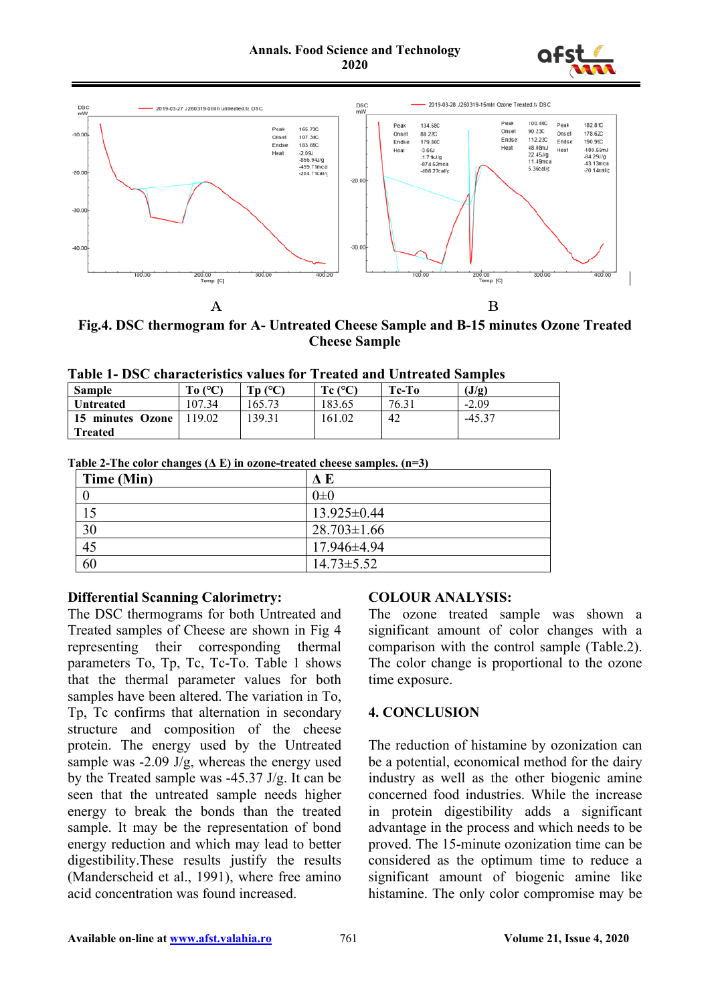



**Fig.4. DSC thermogram for A- Untreated Cheese Sample and B-15 minutes Ozone Treated Cheese Sample**

| <b>Sample</b>    | To $(C)$ | $\mathbf{Tp}$ (°C) | $Tc$ ( $^{\circ}$ C) | Tc-To | (J/g)    |
|------------------|----------|--------------------|----------------------|-------|----------|
| <b>Untreated</b> | 107.34   | 165.73             | 183.65               | 76.31 | $-2.09$  |
| 15 minutes Ozone | 119.02   | 139.31             | 161.02               | 42    | $-45.37$ |
| <b>Treated</b>   |          |                    |                      |       |          |

**Table 2-The color changes (Δ E) in ozone-treated cheese samples. (n=3)**

| Time (Min) | ΔΕ                |
|------------|-------------------|
|            | $0\pm 0$          |
|            | $13.925 \pm 0.44$ |
| 30         | $28.703 \pm 1.66$ |
| 45         | 17.946±4.94       |
| 60         | $14.73 \pm 5.52$  |

### **Differential Scanning Calorimetry:**

The DSC thermograms for both Untreated and Treated samples of Cheese are shown in Fig 4 representing their corresponding thermal parameters To, Tp, Tc, Tc-To. Table 1 shows that the thermal parameter values for both samples have been altered. The variation in To, Tp, Tc confirms that alternation in secondary structure and composition of the cheese protein. The energy used by the Untreated sample was  $-2.09$  J/g, whereas the energy used by the Treated sample was -45.37 J/g. It can be seen that the untreated sample needs higher energy to break the bonds than the treated sample. It may be the representation of bond energy reduction and which may lead to better digestibility.These results justify the results (Manderscheid et al., 1991), where free amino acid concentration was found increased.

### **COLOUR ANALYSIS:**

The ozone treated sample was shown a significant amount of color changes with a comparison with the control sample (Table.2). The color change is proportional to the ozone time exposure.

### **4. CONCLUSION**

The reduction of histamine by ozonization can be a potential, economical method for the dairy industry as well as the other biogenic amine concerned food industries. While the increase in protein digestibility adds a significant advantage in the process and which needs to be proved. The 15-minute ozonization time can be considered as the optimum time to reduce a significant amount of biogenic amine like histamine. The only color compromise may be